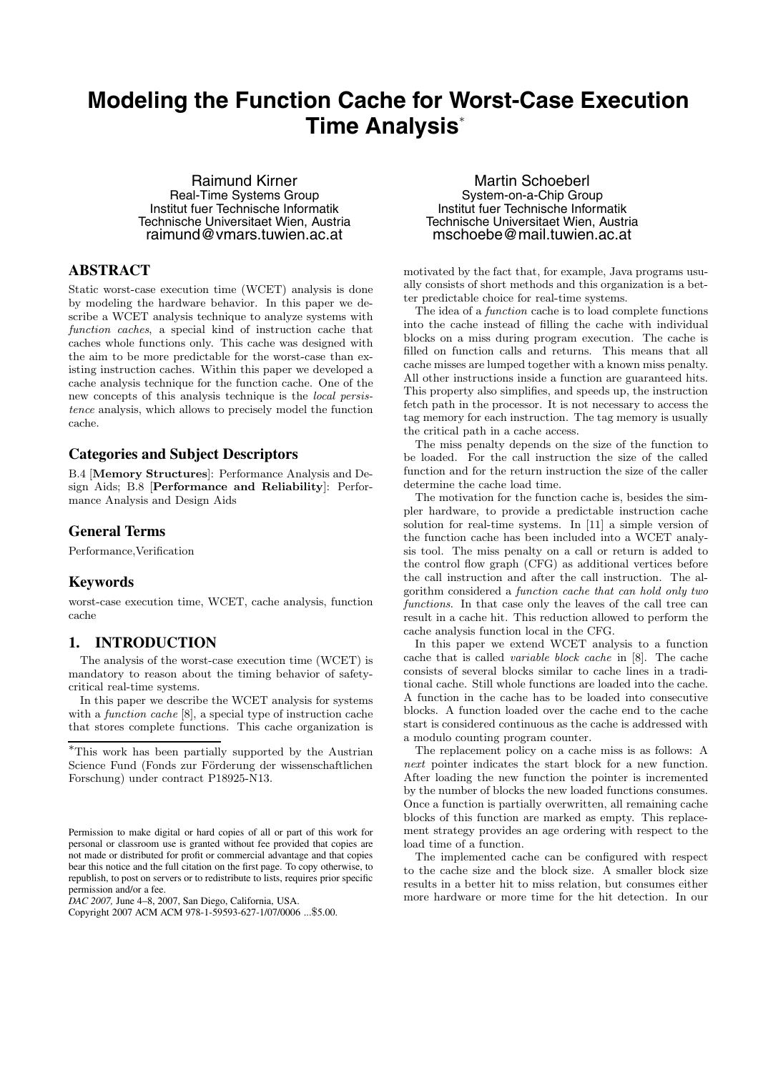# **Modeling the Function Cache for Worst-Case Execution Time Analysis**<sup>∗</sup>

Raimund Kirner Real-Time Systems Group Institut fuer Technische Informatik Technische Universitaet Wien, Austria raimund@vmars.tuwien.ac.at

# **ABSTRACT**

Static worst-case execution time (WCET) analysis is done by modeling the hardware behavior. In this paper we describe a WCET analysis technique to analyze systems with *function caches*, a special kind of instruction cache that caches whole functions only. This cache was designed with the aim to be more predictable for the worst-case than existing instruction caches. Within this paper we developed a cache analysis technique for the function cache. One of the new concepts of this analysis technique is the *local persistence* analysis, which allows to precisely model the function cache.

# **Categories and Subject Descriptors**

B.4 [**Memory Structures**]: Performance Analysis and Design Aids; B.8 [**Performance and Reliability**]: Performance Analysis and Design Aids

## **General Terms**

Performance,Verification

#### **Keywords**

worst-case execution time, WCET, cache analysis, function cache

# **1. INTRODUCTION**

The analysis of the worst-case execution time (WCET) is mandatory to reason about the timing behavior of safetycritical real-time systems.

In this paper we describe the WCET analysis for systems with a *function cache* [8], a special type of instruction cache that stores complete functions. This cache organization is

*DAC 2007,* June 4–8, 2007, San Diego, California, USA.

Martin Schoeberl System-on-a-Chip Group Institut fuer Technische Informatik Technische Universitaet Wien, Austria mschoebe@mail.tuwien.ac.at

motivated by the fact that, for example, Java programs usually consists of short methods and this organization is a better predictable choice for real-time systems.

The idea of a *function* cache is to load complete functions into the cache instead of filling the cache with individual blocks on a miss during program execution. The cache is filled on function calls and returns. This means that all cache misses are lumped together with a known miss penalty. All other instructions inside a function are guaranteed hits. This property also simplifies, and speeds up, the instruction fetch path in the processor. It is not necessary to access the tag memory for each instruction. The tag memory is usually the critical path in a cache access.

The miss penalty depends on the size of the function to be loaded. For the call instruction the size of the called function and for the return instruction the size of the caller determine the cache load time.

The motivation for the function cache is, besides the simpler hardware, to provide a predictable instruction cache solution for real-time systems. In [11] a simple version of the function cache has been included into a WCET analysis tool. The miss penalty on a call or return is added to the control flow graph (CFG) as additional vertices before the call instruction and after the call instruction. The algorithm considered a *function cache that can hold only two functions*. In that case only the leaves of the call tree can result in a cache hit. This reduction allowed to perform the cache analysis function local in the CFG.

In this paper we extend WCET analysis to a function cache that is called *variable block cache* in [8]. The cache consists of several blocks similar to cache lines in a traditional cache. Still whole functions are loaded into the cache. A function in the cache has to be loaded into consecutive blocks. A function loaded over the cache end to the cache start is considered continuous as the cache is addressed with a modulo counting program counter.

The replacement policy on a cache miss is as follows: A *next* pointer indicates the start block for a new function. After loading the new function the pointer is incremented by the number of blocks the new loaded functions consumes. Once a function is partially overwritten, all remaining cache blocks of this function are marked as empty. This replacement strategy provides an age ordering with respect to the load time of a function.

The implemented cache can be configured with respect to the cache size and the block size. A smaller block size results in a better hit to miss relation, but consumes either more hardware or more time for the hit detection. In our

<sup>∗</sup>This work has been partially supported by the Austrian Science Fund (Fonds zur Förderung der wissenschaftlichen Forschung) under contract P18925-N13.

Permission to make digital or hard copies of all or part of this work for personal or classroom use is granted without fee provided that copies are not made or distributed for profit or commercial advantage and that copies bear this notice and the full citation on the first page. To copy otherwise, to republish, to post on servers or to redistribute to lists, requires prior specific permission and/or a fee.

Copyright 2007 ACM ACM 978-1-59593-627-1/07/0006 ...\$5.00.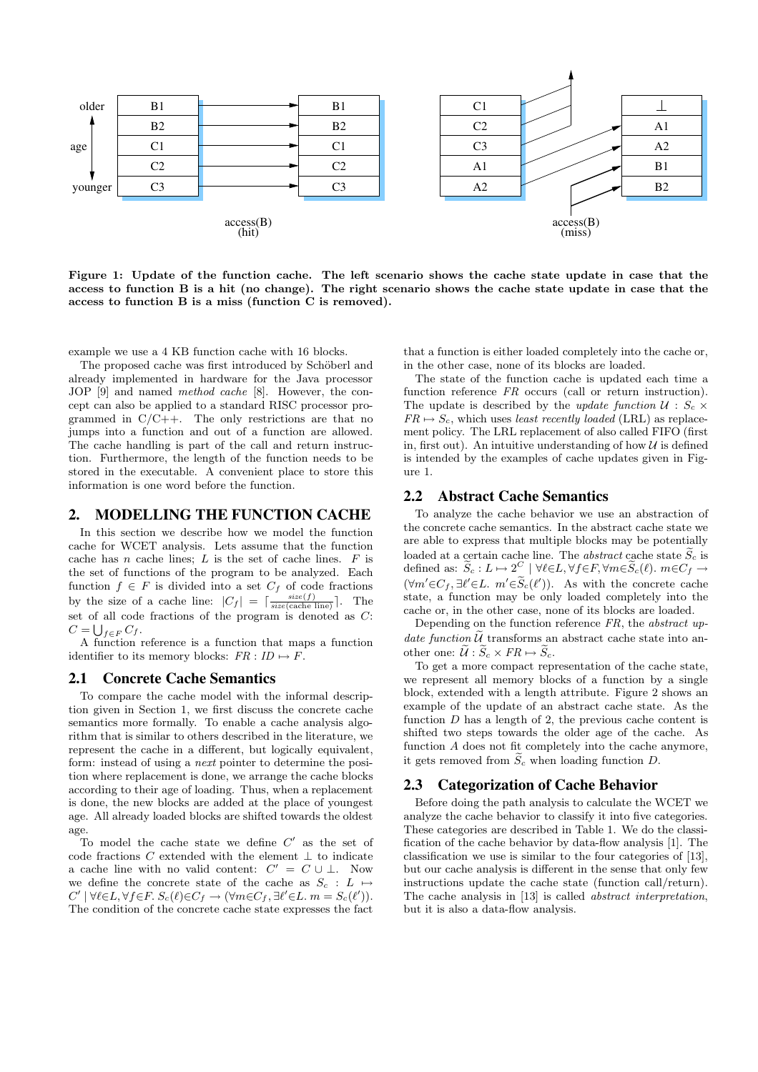

**Figure 1: Update of the function cache. The left scenario shows the cache state update in case that the access to function B is a hit (no change). The right scenario shows the cache state update in case that the access to function B is a miss (function C is removed).**

example we use a 4 KB function cache with 16 blocks.

The proposed cache was first introduced by Schöberl and already implemented in hardware for the Java processor JOP [9] and named *method cache* [8]. However, the concept can also be applied to a standard RISC processor programmed in C/C++. The only restrictions are that no jumps into a function and out of a function are allowed. The cache handling is part of the call and return instruction. Furthermore, the length of the function needs to be stored in the executable. A convenient place to store this information is one word before the function.

## **2. MODELLING THE FUNCTION CACHE**

In this section we describe how we model the function cache for WCET analysis. Lets assume that the function cache has n cache lines;  $L$  is the set of cache lines.  $F$  is the set of functions of the program to be analyzed. Each function  $f \in F$  is divided into a set  $C_f$  of code fractions by the size of a cache line:  $|C_f| = \lceil \frac{size(f)}{size(\text{cache line})} \rceil$ . The set of all code fractions of the program is denoted as C:  $C = \bigcup_{f \in F} C_f.$ 

A function reference is a function that maps a function identifier to its memory blocks:  $FR : ID \mapsto F$ .

# **2.1 Concrete Cache Semantics**

To compare the cache model with the informal description given in Section 1, we first discuss the concrete cache semantics more formally. To enable a cache analysis algorithm that is similar to others described in the literature, we represent the cache in a different, but logically equivalent. form: instead of using a *next* pointer to determine the position where replacement is done, we arrange the cache blocks according to their age of loading. Thus, when a replacement is done, the new blocks are added at the place of youngest age. All already loaded blocks are shifted towards the oldest age.

To model the cache state we define  $C'$  as the set of code fractions  $C$  extended with the element  $\bot$  to indicate a cache line with no valid content:  $C' = C \cup \bot$ . Now we define the concrete state of the cache as  $S_c : L \mapsto$  $C' \mid \forall \ell \in L, \forall f \in F$ .  $S_c(\ell) \in C_f \rightarrow (\forall m \in C_f, \exists \ell' \in L. m = S_c(\ell')).$ The condition of the concrete cache state expresses the fact

that a function is either loaded completely into the cache or, in the other case, none of its blocks are loaded.

The state of the function cache is updated each time a function reference *FR* occurs (call or return instruction). The update is described by the *update function*  $U : S_c \times$  $FR \mapsto S_c$ , which uses *least recently loaded* (LRL) as replacement policy. The LRL replacement of also called FIFO (first in, first out). An intuitive understanding of how  $\mathcal U$  is defined is intended by the examples of cache updates given in Figure 1.

#### **2.2 Abstract Cache Semantics**

To analyze the cache behavior we use an abstraction of the concrete cache semantics. In the abstract cache state we are able to express that multiple blocks may be potentially loaded at a certain cache line. The *abstract* cache state  $\widetilde{S}_c$  is defined as:  $\widetilde{S}_c: L \mapsto 2^C \mid \forall \ell \in L, \forall f \in F, \forall m \in \widetilde{S}_c(\ell)$ .  $m \in C_f \rightarrow$  $(\forall m' \in C_f, \exists \ell' \in L. \ m' \in S_c(\ell')).$  As with the concrete cache state, a function may be only loaded completely into the cache or, in the other case, none of its blocks are loaded.

Depending on the function reference *FR*, the *abstract update function*  $\tilde{U}$  transforms an abstract cache state into another one:  $\widetilde{\mathcal{U}}$  :  $\widetilde{S}_c \times FR \mapsto \widetilde{S}_c$ .

To get a more compact representation of the cache state, we represent all memory blocks of a function by a single block, extended with a length attribute. Figure 2 shows an example of the update of an abstract cache state. As the function  $D$  has a length of 2, the previous cache content is shifted two steps towards the older age of the cache. As function A does not fit completely into the cache anymore, it gets removed from  $\widetilde{S}_c$  when loading function D.

#### **2.3 Categorization of Cache Behavior**

Before doing the path analysis to calculate the WCET we analyze the cache behavior to classify it into five categories. These categories are described in Table 1. We do the classification of the cache behavior by data-flow analysis [1]. The classification we use is similar to the four categories of [13], but our cache analysis is different in the sense that only few instructions update the cache state (function call/return). The cache analysis in [13] is called *abstract interpretation*, but it is also a data-flow analysis.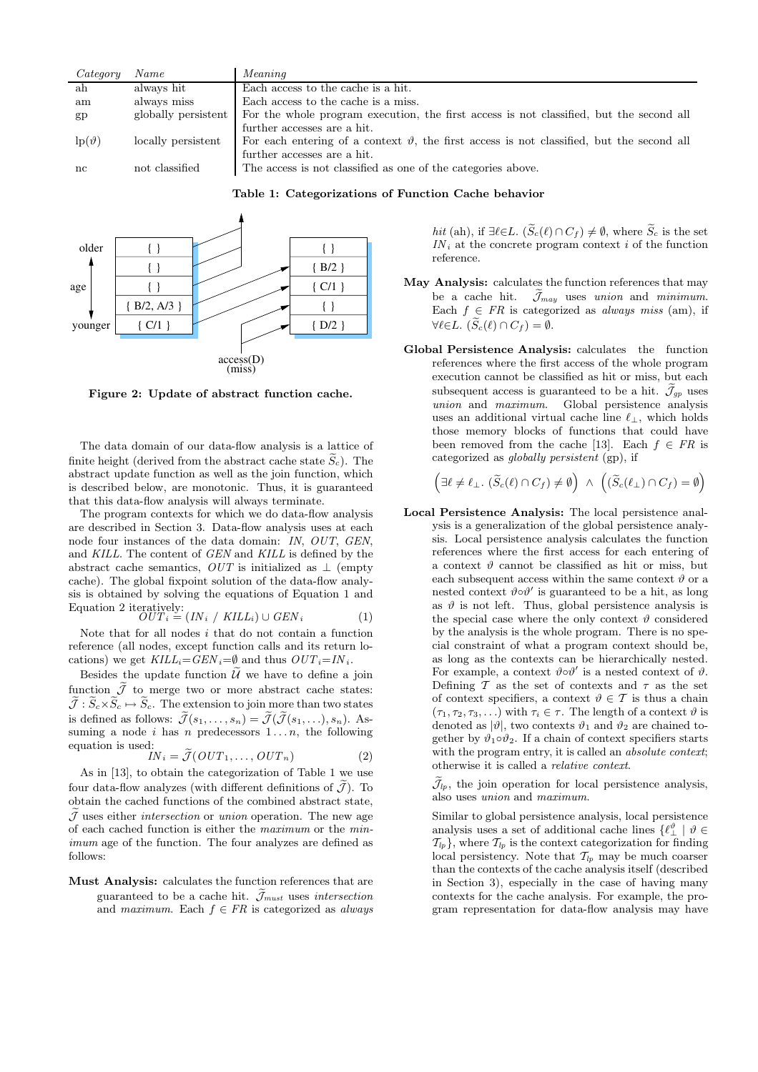| Category        | Name               | Meaning                                                                                                       |
|-----------------|--------------------|---------------------------------------------------------------------------------------------------------------|
| ah              | always hit         | Each access to the cache is a hit.                                                                            |
| am              | always miss        | Each access to the cache is a miss.                                                                           |
| gp              |                    | globally persistent   For the whole program execution, the first access is not classified, but the second all |
|                 |                    | further accesses are a hit.                                                                                   |
| $lp(\vartheta)$ | locally persistent | For each entering of a context $\vartheta$ , the first access is not classified, but the second all           |
|                 |                    | further accesses are a hit.                                                                                   |
| nc              | not classified     | The access is not classified as one of the categories above.                                                  |

**Table 1: Categorizations of Function Cache behavior**



**Figure 2: Update of abstract function cache.**

The data domain of our data-flow analysis is a lattice of finite height (derived from the abstract cache state  $\widetilde{S}_c$ ). The abstract update function as well as the join function, which is described below, are monotonic. Thus, it is guaranteed that this data-flow analysis will always terminate.

The program contexts for which we do data-flow analysis are described in Section 3. Data-flow analysis uses at each node four instances of the data domain: *IN*, *OUT*, *GEN*, and *KILL*. The content of *GEN* and *KILL* is defined by the abstract cache semantics,  $OUT$  is initialized as  $\perp$  (empty cache). The global fixpoint solution of the data-flow analysis is obtained by solving the equations of Equation 1 and  $E$ quation 2 iteratively:

$$
OUT_i = (IN_i / KILL_i) \cup GEN_i
$$
 (1)

Note that for all nodes  $i$  that do not contain a function reference (all nodes, except function calls and its return locations) we get  $KILL_i = GEN_i = ∅$  and thus  $OUT_i = IN_i$ .

Besides the update function  $\widetilde{U}$  we have to define a join function  $\widetilde{\mathcal{J}}$  to merge two or more abstract cache states:  $\tilde{\mathcal{J}}$ :  $\tilde{S}_c \times \tilde{S}_c \mapsto \tilde{S}_c$ . The extension to join more than two states is defined as follows:  $\widetilde{\mathcal{J}}(s_1,\ldots,s_n) = \widetilde{\mathcal{J}}(\widetilde{\mathcal{J}}(s_1,\ldots),s_n)$ . Assuming a node i has n predecessors  $1 \ldots n$ , the following equation is used:

$$
IN_i = \mathcal{J}(OUT_1, \dots, OUT_n) \tag{2}
$$

As in [13], to obtain the categorization of Table 1 we use four data-flow analyzes (with different definitions of  $\tilde{J}$ ). To obtain the cached functions of the combined abstract state,  $\tilde{J}$  uses either *intersection* or *union* operation. The new age of each cached function is either the *maximum* or the *minimum* age of the function. The four analyzes are defined as follows:

**Must Analysis:** calculates the function references that are guaranteed to be a cache hit.  $\tilde{\mathcal{J}}_{must}$  uses *intersection* and *maximum*. Each  $f \in FR$  is categorized as *always*  *hit* (ah), if  $\exists \ell \in L$ .  $(\widetilde{S}_c(\ell) \cap C_f) \neq \emptyset$ , where  $\widetilde{S}_c$  is the set  $IN<sub>i</sub>$  at the concrete program context i of the function reference.

- **May Analysis:** calculates the function references that may be a cache hit.  $\tilde{\mathcal{J}}_{may}$  uses *union* and *minimum*. Each  $f \in FR$  is categorized as *always miss* (am), if  $\forall \ell \in L$ .  $(\widetilde{S}_c(\ell) \cap C_f) = \emptyset$ .
- **Global Persistence Analysis:** calculates the function references where the first access of the whole program execution cannot be classified as hit or miss, but each subsequent access is guaranteed to be a hit.  $\tilde{\mathcal{J}}_{qp}$  uses *union* and *maximum*. Global persistence analysis uses an additional virtual cache line  $\ell_{\perp}$ , which holds those memory blocks of functions that could have been removed from the cache [13]. Each  $f \in FR$  is categorized as *globally persistent* (gp), if

$$
\Big(\exists \ell \neq \ell_\bot \, . \; (\widetilde{S}_c(\ell) \cap C_f) \neq \emptyset \Big) \; \wedge \; \Big( (\widetilde{S}_c(\ell_\bot) \cap C_f) = \emptyset \Big)
$$

**Local Persistence Analysis:** The local persistence analysis is a generalization of the global persistence analysis. Local persistence analysis calculates the function references where the first access for each entering of a context  $\vartheta$  cannot be classified as hit or miss, but each subsequent access within the same context  $\vartheta$  or a nested context  $\vartheta \circ \vartheta'$  is guaranteed to be a hit, as long as  $\vartheta$  is not left. Thus, global persistence analysis is the special case where the only context  $\vartheta$  considered by the analysis is the whole program. There is no special constraint of what a program context should be, as long as the contexts can be hierarchically nested. For example, a context  $\vartheta \circ \vartheta'$  is a nested context of  $\vartheta$ . Defining  $\mathcal T$  as the set of contexts and  $\tau$  as the set of context specifiers, a context  $\vartheta \in \mathcal{T}$  is thus a chain  $(\tau_1, \tau_2, \tau_3,...)$  with  $\tau_i \in \tau$ . The length of a context  $\vartheta$  is denoted as  $|\vartheta|$ , two contexts  $\vartheta_1$  and  $\vartheta_2$  are chained together by  $\vartheta_1 \circ \vartheta_2$ . If a chain of context specifiers starts with the program entry, it is called an *absolute context*; otherwise it is called a *relative context*.

 $\widetilde{\mathcal{J}}_{lp}$ , the join operation for local persistence analysis, also uses *union* and *maximum*.

Similar to global persistence analysis, local persistence analysis uses a set of additional cache lines  $\{\ell_{\perp}^{\vartheta} \mid \vartheta \in$  $\mathcal{T}_{lp}$ , where  $\mathcal{T}_{lp}$  is the context categorization for finding local persistency. Note that  $\mathcal{T}_{lp}$  may be much coarser than the contexts of the cache analysis itself (described in Section 3), especially in the case of having many contexts for the cache analysis. For example, the program representation for data-flow analysis may have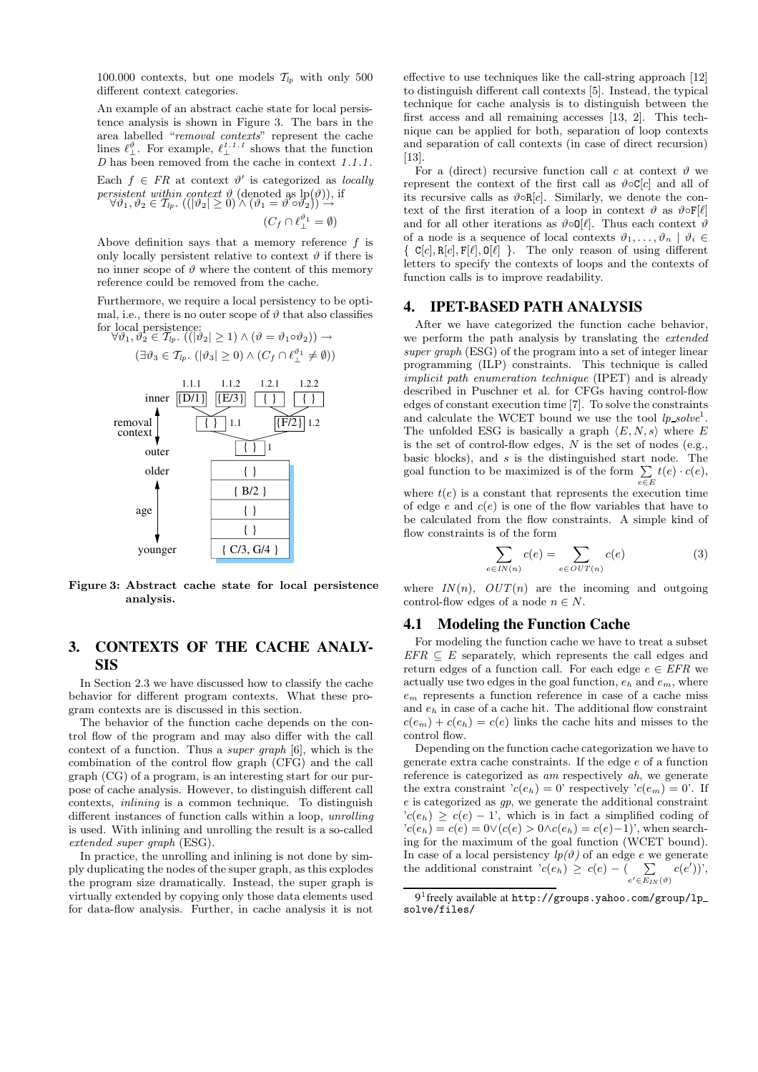100.000 contexts, but one models  $\mathcal{T}_{lp}$  with only 500 different context categories.

An example of an abstract cache state for local persistence analysis is shown in Figure 3. The bars in the area labelled "*removal contexts*" represent the cache lines  $\ell_{\perp}^{\vartheta}$ . For example,  $\ell_{\perp}^{1.1.1}$  shows that the function *D* has been removed from the cache in context *1*.*1*.*1* . Each  $f \in FR$  at context  $\vartheta'$  is categorized as *locally* 

*persistent within context*  $\vartheta$  (denoted as  $\text{lp}(\vartheta)$ ), if  $\forall \vartheta_1, \vartheta_2 \in \mathcal{T}_{lp}$ . (( $|\vartheta_2| \ge 0$ )  $\land$   $(\vartheta_1 = \vartheta' \circ \vartheta_2)$ )  $\rightarrow$  $\sigma'(\mathfrak{d}_2)) \overset{\gamma \gamma}{\rightarrow}$ 

$$
(C_f \cap \ell_{\perp}^{\vartheta_1} = \emptyset)
$$

Above definition says that a memory reference  $f$  is only locally persistent relative to context  $\vartheta$  if there is no inner scope of  $\vartheta$  where the content of this memory reference could be removed from the cache.

Furthermore, we require a local persistency to be optimal, i.e., there is no outer scope of  $\vartheta$  that also classifies for  $\text{local}$  persistence:  $\mathcal{F}^{(1, \alpha_{-1})} \setminus \mathcal{N}^{(a_{-1}, \alpha_{-1})}$ 

$$
(\forall v_1, v_2 \in \mathcal{I}_{lp}.((|v_2| \geq 1) \land (v = v_1 \circ v_2)) \rightarrow (\exists \vartheta_3 \in \mathcal{I}_{lp}.(|\vartheta_3| \geq 0) \land (C_f \cap \ell_{\perp}^{\vartheta_1} \neq \emptyset))
$$



**Figure 3: Abstract cache state for local persistence analysis.**

# **3. CONTEXTS OF THE CACHE ANALY-SIS**

In Section 2.3 we have discussed how to classify the cache behavior for different program contexts. What these program contexts are is discussed in this section.

The behavior of the function cache depends on the control flow of the program and may also differ with the call context of a function. Thus a *super graph* [6], which is the combination of the control flow graph (CFG) and the call graph (CG) of a program, is an interesting start for our purpose of cache analysis. However, to distinguish different call contexts, *inlining* is a common technique. To distinguish different instances of function calls within a loop, *unrolling* is used. With inlining and unrolling the result is a so-called *extended super graph* (ESG).

In practice, the unrolling and inlining is not done by simply duplicating the nodes of the super graph, as this explodes the program size dramatically. Instead, the super graph is virtually extended by copying only those data elements used for data-flow analysis. Further, in cache analysis it is not

effective to use techniques like the call-string approach [12] to distinguish different call contexts [5]. Instead, the typical technique for cache analysis is to distinguish between the first access and all remaining accesses [13, 2]. This technique can be applied for both, separation of loop contexts and separation of call contexts (in case of direct recursion) [13].

For a (direct) recursive function call c at context  $\vartheta$  we represent the context of the first call as  $\vartheta \circ \mathsf{C}[c]$  and all of its recursive calls as  $\vartheta \circ \mathbb{R}[c]$ . Similarly, we denote the context of the first iteration of a loop in context  $\vartheta$  as  $\vartheta \circ F[\ell]$ and for all other iterations as  $\vartheta \circ \mathsf{O}[\ell]$ . Thus each context  $\vartheta$ of a node is a sequence of local contexts  $\vartheta_1, \ldots, \vartheta_n \mid \vartheta_i \in$  $\{ C[c], R[c], F[\ell], O[\ell] \}$ . The only reason of using different letters to specify the contexts of loops and the contexts of function calls is to improve readability.

#### **4. IPET-BASED PATH ANALYSIS**

After we have categorized the function cache behavior, we perform the path analysis by translating the *extended super graph* (ESG) of the program into a set of integer linear programming (ILP) constraints. This technique is called *implicit path enumeration technique* (IPET) and is already described in Puschner et al. for CFGs having control-flow edges of constant execution time [7]. To solve the constraints and calculate the WCET bound we use the tool *lp solve*<sup>1</sup>. The unfolded ESG is basically a graph  $\langle E,N,s \rangle$  where E is the set of control-flow edges,  $N$  is the set of nodes (e.g., basic blocks), and  $s$  is the distinguished start node. The goal function to be maximized is of the form  $\Sigma$ e∈E  $t(e) \cdot c(e),$ 

where  $t(e)$  is a constant that represents the execution time of edge  $e$  and  $c(e)$  is one of the flow variables that have to be calculated from the flow constraints. A simple kind of flow constraints is of the form

$$
\sum_{e \in IN(n)} c(e) = \sum_{e \in OUT(n)} c(e) \tag{3}
$$

where  $IN(n)$ ,  $OUT(n)$  are the incoming and outgoing control-flow edges of a node  $n \in N$ .

#### **4.1 Modeling the Function Cache**

For modeling the function cache we have to treat a subset  $EFR \subseteq E$  separately, which represents the call edges and return edges of a function call. For each edge  $e \in EFR$  we actually use two edges in the goal function,  $e_h$  and  $e_m$ , where  $e<sub>m</sub>$  represents a function reference in case of a cache miss and  $e_h$  in case of a cache hit. The additional flow constraint  $c(e_m) + c(e_h) = c(e)$  links the cache hits and misses to the control flow.

Depending on the function cache categorization we have to generate extra cache constraints. If the edge e of a function reference is categorized as *am* respectively *ah*, we generate the extra constraint  $c(e_h) = 0$ ' respectively  $c(e_m) = 0$ '. If e is categorized as *gp*, we generate the additional constraint  $c(e_h) \geq c(e) - 1$ ', which is in fact a simplified coding of  $c(e_h) = c(e) = 0 \vee (c(e) > 0 \wedge c(e_h) = c(e) - 1)$ , when searching for the maximum of the goal function (WCET bound). In case of a local persistency  $lp(\vartheta)$  of an edge e we generate the additional constraint  $\overline{c}(e_h) \geq c(e) - \overline{C}$  $e' \in E_{IN}(\vartheta)$  $c(e'))$ ',

<sup>9</sup><sup>1</sup>freely available at http://groups.yahoo.com/group/lp solve/files/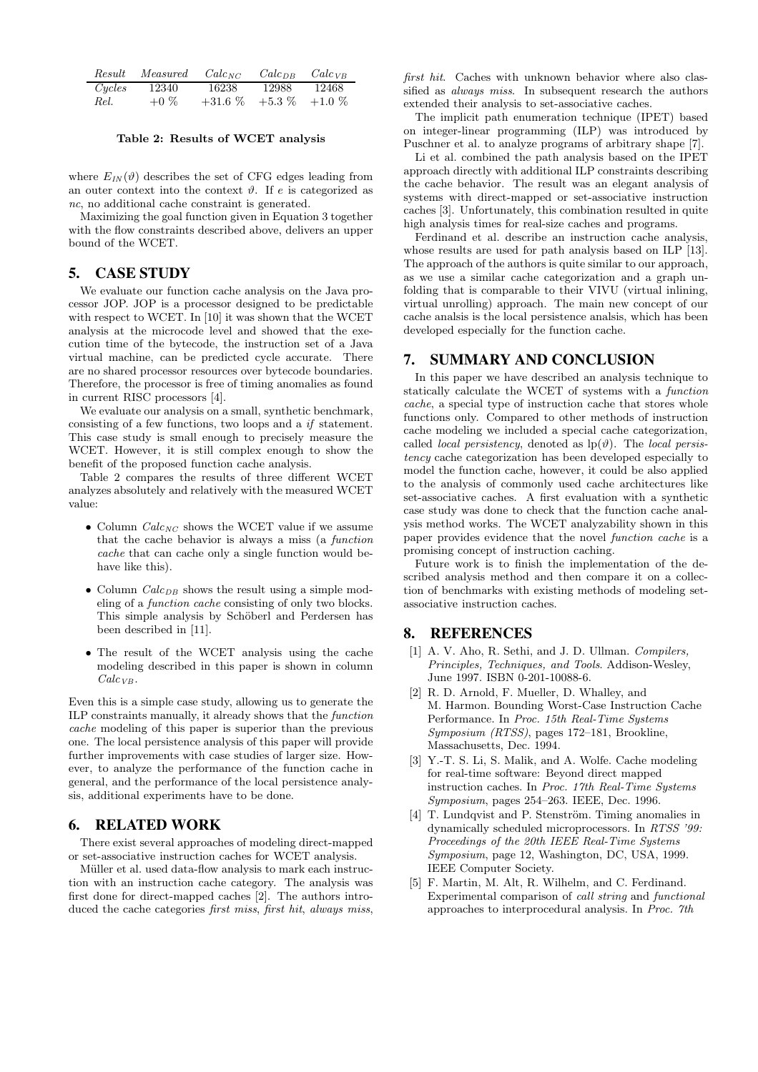| Result | $\it Measured$ | $Calc_{NC}$ | $Calc_{DB}$ | $Calc_{VB}$ |
|--------|----------------|-------------|-------------|-------------|
| Cycles | 12340          | 16238       | 12988       | 12468       |
| Rel.   | $+0\%$         | $+31.6\%$   | $+5.3\%$    | $+1.0\%$    |

**Table 2: Results of WCET analysis**

where  $E_{IN}(\vartheta)$  describes the set of CFG edges leading from an outer context into the context  $\vartheta$ . If e is categorized as *nc*, no additional cache constraint is generated.

Maximizing the goal function given in Equation 3 together with the flow constraints described above, delivers an upper bound of the WCET.

# **5. CASE STUDY**

We evaluate our function cache analysis on the Java processor JOP. JOP is a processor designed to be predictable with respect to WCET. In [10] it was shown that the WCET analysis at the microcode level and showed that the execution time of the bytecode, the instruction set of a Java virtual machine, can be predicted cycle accurate. There are no shared processor resources over bytecode boundaries. Therefore, the processor is free of timing anomalies as found in current RISC processors [4].

We evaluate our analysis on a small, synthetic benchmark, consisting of a few functions, two loops and a *if* statement. This case study is small enough to precisely measure the WCET. However, it is still complex enough to show the benefit of the proposed function cache analysis.

Table 2 compares the results of three different WCET analyzes absolutely and relatively with the measured WCET value:

- Column *CalcNC* shows the WCET value if we assume that the cache behavior is always a miss (a *function cache* that can cache only a single function would behave like this).
- Column *Calc<sub>DB</sub>* shows the result using a simple modeling of a *function cache* consisting of only two blocks. This simple analysis by Schöberl and Perdersen has been described in [11].
- The result of the WCET analysis using the cache modeling described in this paper is shown in column *CalcVB* .

Even this is a simple case study, allowing us to generate the ILP constraints manually, it already shows that the *function cache* modeling of this paper is superior than the previous one. The local persistence analysis of this paper will provide further improvements with case studies of larger size. However, to analyze the performance of the function cache in general, and the performance of the local persistence analysis, additional experiments have to be done.

# **6. RELATED WORK**

There exist several approaches of modeling direct-mapped or set-associative instruction caches for WCET analysis.

Müller et al. used data-flow analysis to mark each instruction with an instruction cache category. The analysis was first done for direct-mapped caches [2]. The authors introduced the cache categories *first miss*, *first hit*, *always miss*,

*first hit*. Caches with unknown behavior where also classified as *always miss*. In subsequent research the authors extended their analysis to set-associative caches.

The implicit path enumeration technique (IPET) based on integer-linear programming (ILP) was introduced by Puschner et al. to analyze programs of arbitrary shape [7].

Li et al. combined the path analysis based on the IPET approach directly with additional ILP constraints describing the cache behavior. The result was an elegant analysis of systems with direct-mapped or set-associative instruction caches [3]. Unfortunately, this combination resulted in quite high analysis times for real-size caches and programs.

Ferdinand et al. describe an instruction cache analysis, whose results are used for path analysis based on ILP [13]. The approach of the authors is quite similar to our approach, as we use a similar cache categorization and a graph unfolding that is comparable to their VIVU (virtual inlining, virtual unrolling) approach. The main new concept of our cache analsis is the local persistence analsis, which has been developed especially for the function cache.

## **7. SUMMARY AND CONCLUSION**

In this paper we have described an analysis technique to statically calculate the WCET of systems with a *function cache*, a special type of instruction cache that stores whole functions only. Compared to other methods of instruction cache modeling we included a special cache categorization, called *local persistency*, denoted as  $\text{lp}(\vartheta)$ . The *local persistency* cache categorization has been developed especially to model the function cache, however, it could be also applied to the analysis of commonly used cache architectures like set-associative caches. A first evaluation with a synthetic case study was done to check that the function cache analysis method works. The WCET analyzability shown in this paper provides evidence that the novel *function cache* is a promising concept of instruction caching.

Future work is to finish the implementation of the described analysis method and then compare it on a collection of benchmarks with existing methods of modeling setassociative instruction caches.

## **8. REFERENCES**

- [1] A. V. Aho, R. Sethi, and J. D. Ullman. *Compilers, Principles, Techniques, and Tools*. Addison-Wesley, June 1997. ISBN 0-201-10088-6.
- [2] R. D. Arnold, F. Mueller, D. Whalley, and M. Harmon. Bounding Worst-Case Instruction Cache Performance. In *Proc. 15th Real-Time Systems Symposium (RTSS)*, pages 172–181, Brookline, Massachusetts, Dec. 1994.
- [3] Y.-T. S. Li, S. Malik, and A. Wolfe. Cache modeling for real-time software: Beyond direct mapped instruction caches. In *Proc. 17th Real-Time Systems Symposium*, pages 254–263. IEEE, Dec. 1996.
- [4] T. Lundqvist and P. Stenström. Timing anomalies in dynamically scheduled microprocessors. In *RTSS '99: Proceedings of the 20th IEEE Real-Time Systems Symposium*, page 12, Washington, DC, USA, 1999. IEEE Computer Society.
- [5] F. Martin, M. Alt, R. Wilhelm, and C. Ferdinand. Experimental comparison of *call string* and *functional* approaches to interprocedural analysis. In *Proc. 7th*